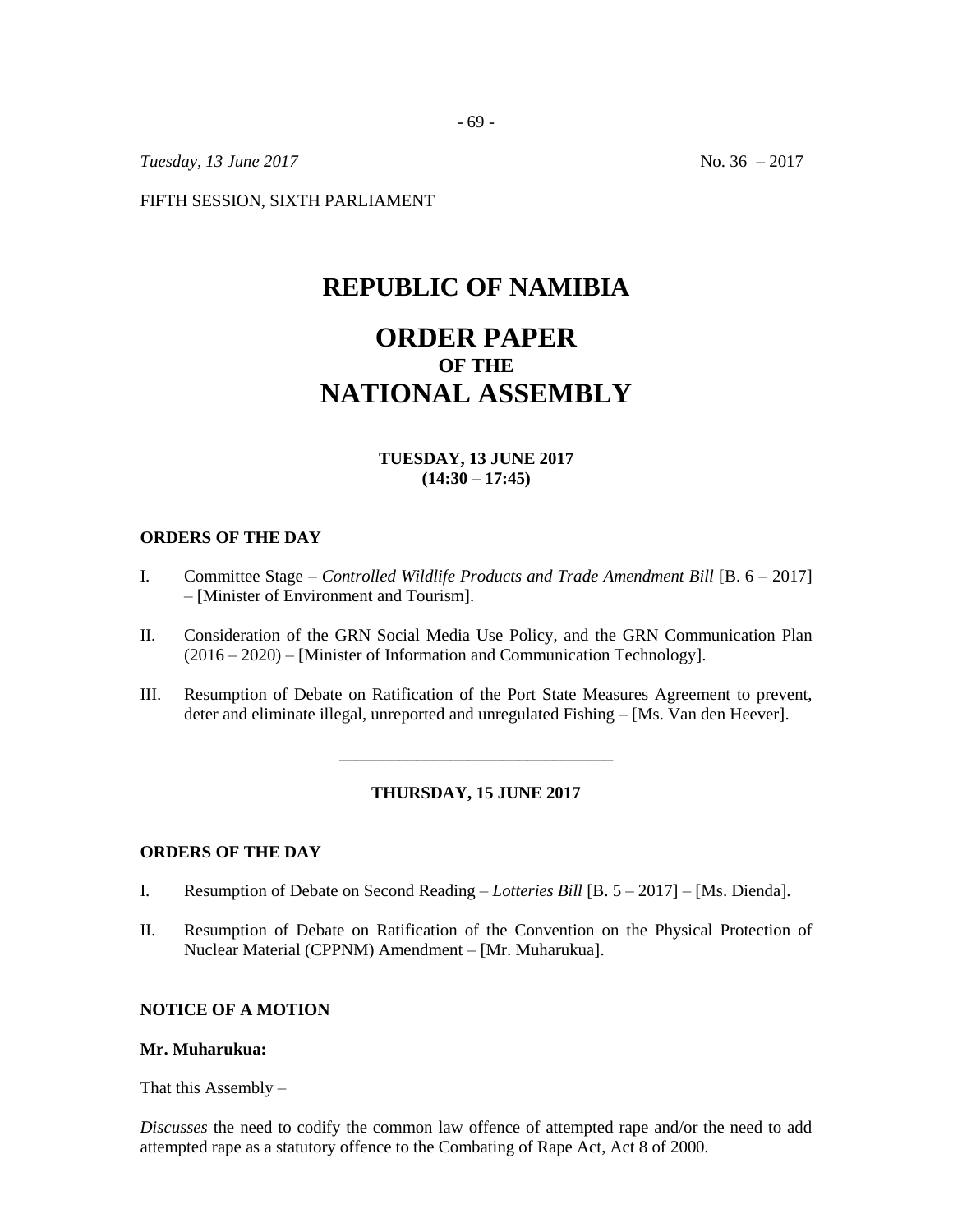*Tuesday, 13 June 2017* No. 36 – 2017

FIFTH SESSION, SIXTH PARLIAMENT

# **REPUBLIC OF NAMIBIA**

# **ORDER PAPER OF THE NATIONAL ASSEMBLY**

# **TUESDAY, 13 JUNE 2017 (14:30 – 17:45)**

## **ORDERS OF THE DAY**

- I. Committee Stage *Controlled Wildlife Products and Trade Amendment Bill* [B. 6 2017] – [Minister of Environment and Tourism].
- II. Consideration of the GRN Social Media Use Policy, and the GRN Communication Plan (2016 – 2020) – [Minister of Information and Communication Technology].
- III. Resumption of Debate on Ratification of the Port State Measures Agreement to prevent, deter and eliminate illegal, unreported and unregulated Fishing – [Ms. Van den Heever].

#### **THURSDAY, 15 JUNE 2017**

\_\_\_\_\_\_\_\_\_\_\_\_\_\_\_\_\_\_\_\_\_\_\_\_\_\_\_\_\_\_\_\_

# **ORDERS OF THE DAY**

- I. Resumption of Debate on Second Reading *Lotteries Bill* [B. 5 2017] [Ms. Dienda].
- II. Resumption of Debate on Ratification of the Convention on the Physical Protection of Nuclear Material (CPPNM) Amendment – [Mr. Muharukua].

# **NOTICE OF A MOTION**

#### **Mr. Muharukua:**

That this Assembly  $-$ 

*Discusses* the need to codify the common law offence of attempted rape and/or the need to add attempted rape as a statutory offence to the Combating of Rape Act, Act 8 of 2000.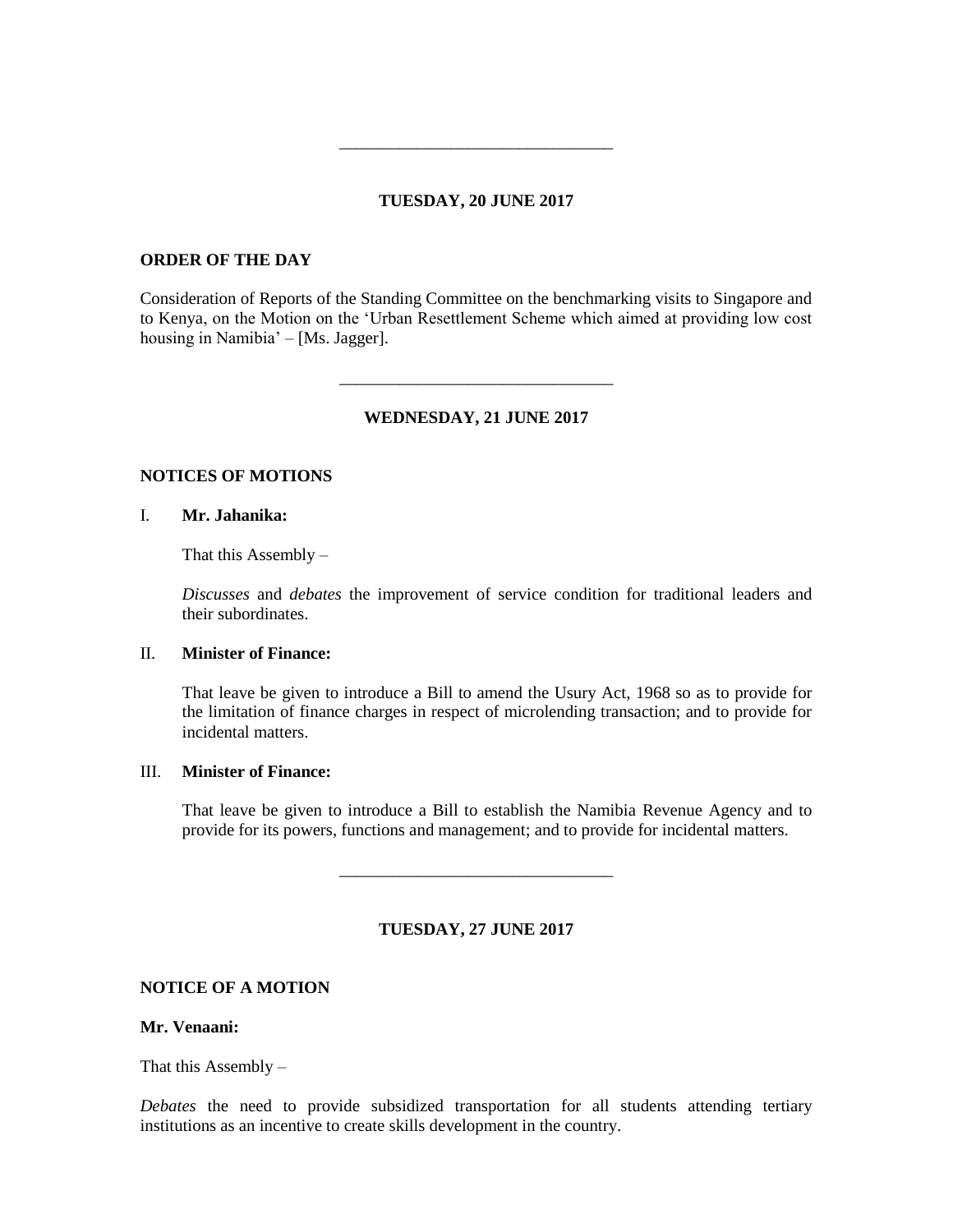# **TUESDAY, 20 JUNE 2017**

\_\_\_\_\_\_\_\_\_\_\_\_\_\_\_\_\_\_\_\_\_\_\_\_\_\_\_\_\_\_\_\_

## **ORDER OF THE DAY**

Consideration of Reports of the Standing Committee on the benchmarking visits to Singapore and to Kenya, on the Motion on the 'Urban Resettlement Scheme which aimed at providing low cost housing in Namibia' – [Ms. Jagger].

#### **WEDNESDAY, 21 JUNE 2017**

\_\_\_\_\_\_\_\_\_\_\_\_\_\_\_\_\_\_\_\_\_\_\_\_\_\_\_\_\_\_\_\_

#### **NOTICES OF MOTIONS**

## I. **Mr. Jahanika:**

That this Assembly  $-$ 

*Discusses* and *debates* the improvement of service condition for traditional leaders and their subordinates.

## II. **Minister of Finance:**

That leave be given to introduce a Bill to amend the Usury Act, 1968 so as to provide for the limitation of finance charges in respect of microlending transaction; and to provide for incidental matters.

# III. **Minister of Finance:**

That leave be given to introduce a Bill to establish the Namibia Revenue Agency and to provide for its powers, functions and management; and to provide for incidental matters.

#### **TUESDAY, 27 JUNE 2017**

\_\_\_\_\_\_\_\_\_\_\_\_\_\_\_\_\_\_\_\_\_\_\_\_\_\_\_\_\_\_\_\_

## **NOTICE OF A MOTION**

## **Mr. Venaani:**

That this Assembly –

*Debates* the need to provide subsidized transportation for all students attending tertiary institutions as an incentive to create skills development in the country.